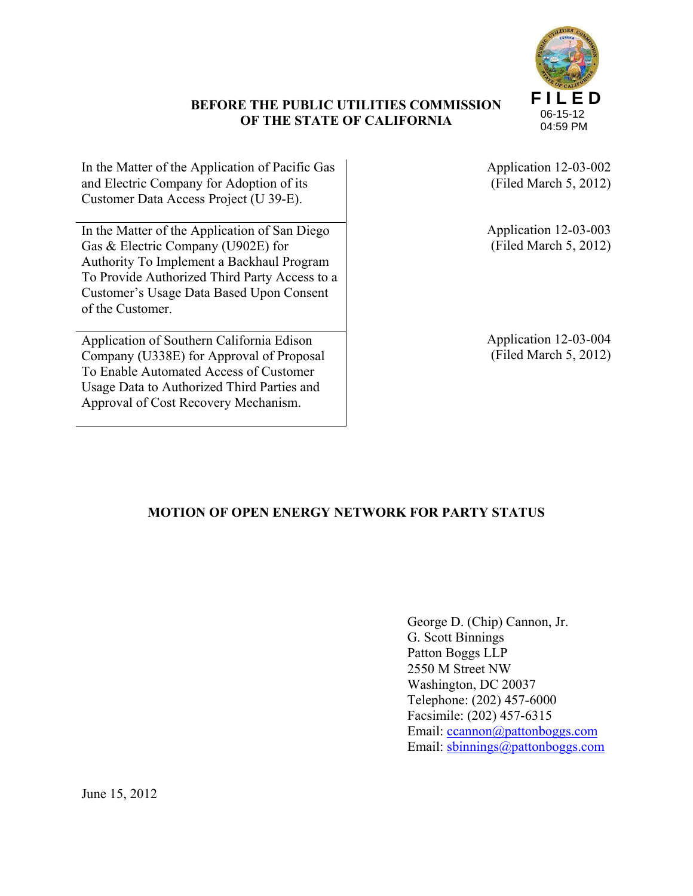# **BEFORE THE PUBLIC UTILITIES COMMISSION OF THE STATE OF CALIFORNIA**



In the Matter of the Application of Pacific Gas and Electric Company for Adoption of its Customer Data Access Project (U 39-E).

In the Matter of the Application of San Diego Gas & Electric Company (U902E) for Authority To Implement a Backhaul Program To Provide Authorized Third Party Access to a Customer's Usage Data Based Upon Consent of the Customer.

Application of Southern California Edison Company (U338E) for Approval of Proposal To Enable Automated Access of Customer Usage Data to Authorized Third Parties and Approval of Cost Recovery Mechanism.

Application 12-03-002 (Filed March 5, 2012)

Application 12-03-003 (Filed March 5, 2012)

Application 12-03-004 (Filed March 5, 2012)

# **MOTION OF OPEN ENERGY NETWORK FOR PARTY STATUS**

 George D. (Chip) Cannon, Jr. G. Scott Binnings Patton Boggs LLP 2550 M Street NW Washington, DC 20037 Telephone: (202) 457-6000 Facsimile: (202) 457-6315 Email: ccannon@pattonboggs.com Email: sbinnings@pattonboggs.com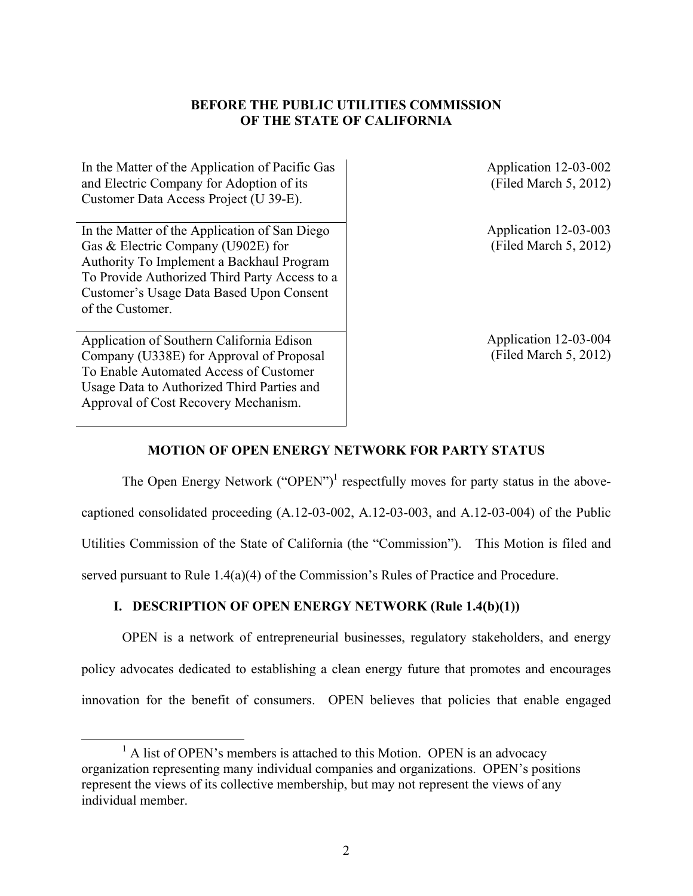## **BEFORE THE PUBLIC UTILITIES COMMISSION OF THE STATE OF CALIFORNIA**

In the Matter of the Application of Pacific Gas and Electric Company for Adoption of its Customer Data Access Project (U 39-E).

In the Matter of the Application of San Diego Gas & Electric Company (U902E) for Authority To Implement a Backhaul Program To Provide Authorized Third Party Access to a Customer's Usage Data Based Upon Consent of the Customer.

Application of Southern California Edison Company (U338E) for Approval of Proposal To Enable Automated Access of Customer Usage Data to Authorized Third Parties and Approval of Cost Recovery Mechanism.

Application 12-03-002 (Filed March 5, 2012)

Application 12-03-003 (Filed March 5, 2012)

Application 12-03-004 (Filed March 5, 2012)

## **MOTION OF OPEN ENERGY NETWORK FOR PARTY STATUS**

The Open Energy Network ("OPEN")<sup>1</sup> respectfully moves for party status in the abovecaptioned consolidated proceeding (A.12-03-002, A.12-03-003, and A.12-03-004) of the Public Utilities Commission of the State of California (the "Commission"). This Motion is filed and served pursuant to Rule 1.4(a)(4) of the Commission's Rules of Practice and Procedure.

## **I. DESCRIPTION OF OPEN ENERGY NETWORK (Rule 1.4(b)(1))**

OPEN is a network of entrepreneurial businesses, regulatory stakeholders, and energy policy advocates dedicated to establishing a clean energy future that promotes and encourages innovation for the benefit of consumers. OPEN believes that policies that enable engaged

<sup>&</sup>lt;u>1</u>  $^1$  A list of OPEN's members is attached to this Motion. OPEN is an advocacy organization representing many individual companies and organizations. OPEN's positions represent the views of its collective membership, but may not represent the views of any individual member.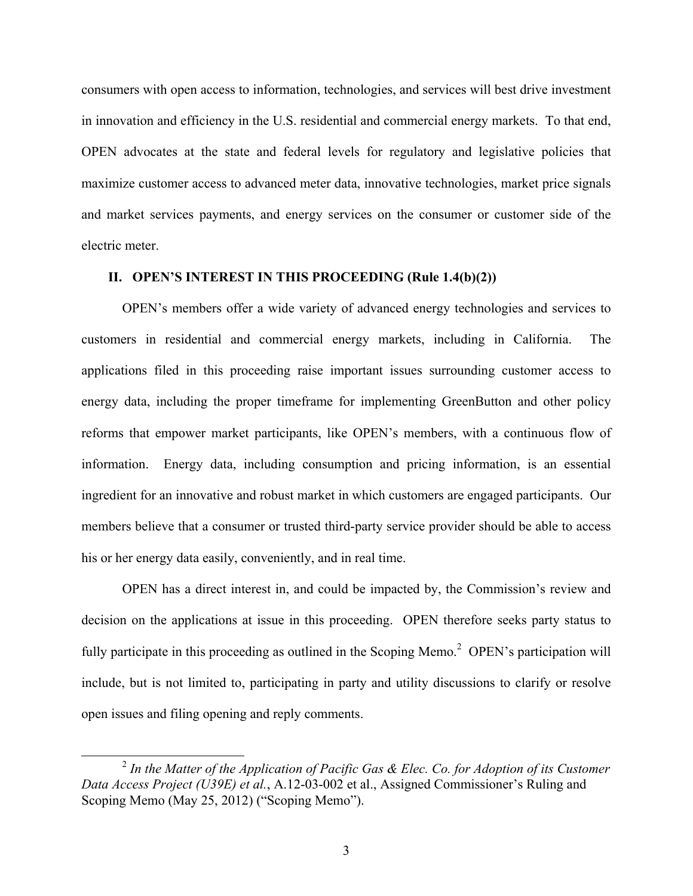consumers with open access to information, technologies, and services will best drive investment in innovation and efficiency in the U.S. residential and commercial energy markets. To that end, OPEN advocates at the state and federal levels for regulatory and legislative policies that maximize customer access to advanced meter data, innovative technologies, market price signals and market services payments, and energy services on the consumer or customer side of the electric meter.

#### **II. OPEN'S INTEREST IN THIS PROCEEDING (Rule 1.4(b)(2))**

OPEN's members offer a wide variety of advanced energy technologies and services to customers in residential and commercial energy markets, including in California. The applications filed in this proceeding raise important issues surrounding customer access to energy data, including the proper timeframe for implementing GreenButton and other policy reforms that empower market participants, like OPEN's members, with a continuous flow of information. Energy data, including consumption and pricing information, is an essential ingredient for an innovative and robust market in which customers are engaged participants. Our members believe that a consumer or trusted third-party service provider should be able to access his or her energy data easily, conveniently, and in real time.

OPEN has a direct interest in, and could be impacted by, the Commission's review and decision on the applications at issue in this proceeding. OPEN therefore seeks party status to fully participate in this proceeding as outlined in the Scoping Memo.<sup>2</sup> OPEN's participation will include, but is not limited to, participating in party and utility discussions to clarify or resolve open issues and filing opening and reply comments.

 <sup>2</sup> *In the Matter of the Application of Pacific Gas & Elec. Co. for Adoption of its Customer Data Access Project (U39E) et al.*, A.12-03-002 et al., Assigned Commissioner's Ruling and Scoping Memo (May 25, 2012) ("Scoping Memo").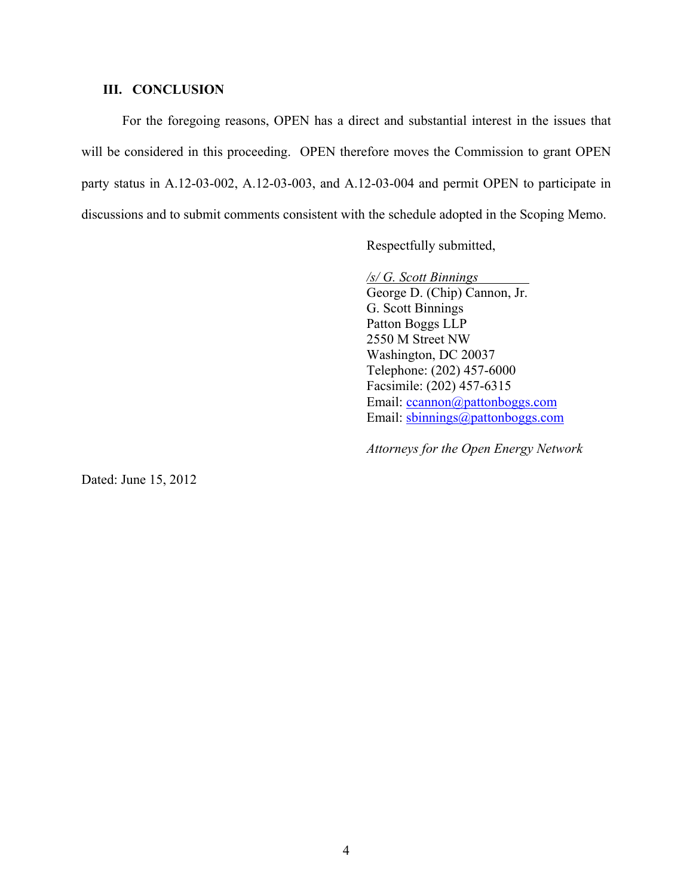#### **III. CONCLUSION**

For the foregoing reasons, OPEN has a direct and substantial interest in the issues that will be considered in this proceeding. OPEN therefore moves the Commission to grant OPEN party status in A.12-03-002, A.12-03-003, and A.12-03-004 and permit OPEN to participate in discussions and to submit comments consistent with the schedule adopted in the Scoping Memo.

Respectfully submitted,

*/s/ G. Scott Binnings* 

George D. (Chip) Cannon, Jr. G. Scott Binnings Patton Boggs LLP 2550 M Street NW Washington, DC 20037 Telephone: (202) 457-6000 Facsimile: (202) 457-6315 Email: ccannon@pattonboggs.com Email: sbinnings@pattonboggs.com

*Attorneys for the Open Energy Network* 

Dated: June 15, 2012